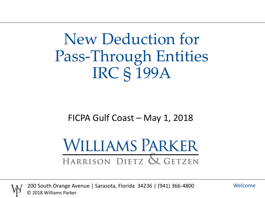New Deduction for Pass-Through Entities IRC § 199A

#### FICPA Gulf Coast – May 1, 2018

# **WILLIAMS PARKER** HARRISON DIETZ & GETZEN



200 South Orange Avenue | Sarasota, Florida 34236 | (941) 366-4800 © 2018 Williams Parker

Welcome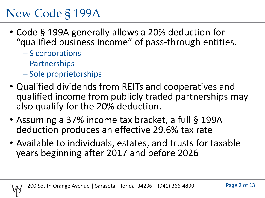- Code § 199A generally allows a 20% deduction for "qualified business income" of pass-through entities.
	- $-S$  corporations
	- Partnerships
	- Sole proprietorships
- Qualified dividends from REITs and cooperatives and qualified income from publicly traded partnerships may also qualify for the 20% deduction.
- Assuming a 37% income tax bracket, a full § 199A deduction produces an effective 29.6% tax rate
- Available to individuals, estates, and trusts for taxable years beginning after 2017 and before 2026

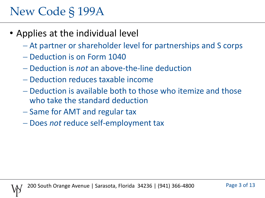- Applies at the individual level
	- At partner or shareholder level for partnerships and S corps
	- Deduction is on Form 1040
	- Deduction is *not* an above-the-line deduction
	- Deduction reduces taxable income
	- Deduction is available both to those who itemize and those who take the standard deduction
	- Same for AMT and regular tax
	- Does *not* reduce self-employment tax

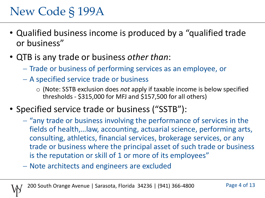- Qualified business income is produced by a "qualified trade or business"
- QTB is any trade or business *other than*:
	- Trade or business of performing services as an employee, or
	- A specified service trade or business
		- o (Note: SSTB exclusion does *not* apply if taxable income is below specified thresholds - \$315,000 for MFJ and \$157,500 for all others)
- Specified service trade or business ("SSTB"):
	- $-$  "any trade or business involving the performance of services in the fields of health,…law, accounting, actuarial science, performing arts, consulting, athletics, financial services, brokerage services, or any trade or business where the principal asset of such trade or business is the reputation or skill of 1 or more of its employees"
	- Note architects and engineers are excluded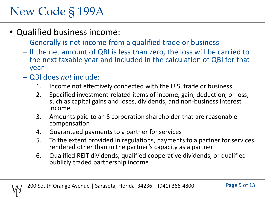- Qualified business income:
	- Generally is net income from a qualified trade or business
	- If the net amount of QBI is less than zero, the loss will be carried to the next taxable year and included in the calculation of QBI for that year
	- QBI does *not* include:
		- 1. Income not effectively connected with the U.S. trade or business
		- 2. Specified investment-related items of income, gain, deduction, or loss, such as capital gains and loses, dividends, and non-business interest income
		- 3. Amounts paid to an S corporation shareholder that are reasonable compensation
		- 4. Guaranteed payments to a partner for services
		- 5. To the extent provided in regulations, payments to a partner for services rendered other than in the partner's capacity as a partner
		- 6. Qualified REIT dividends, qualified cooperative dividends, or qualified publicly traded partnership income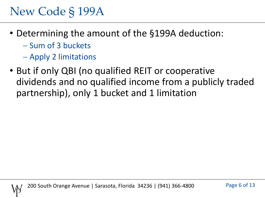- Determining the amount of the §199A deduction:
	- Sum of 3 buckets
	- Apply 2 limitations
- But if only QBI (no qualified REIT or cooperative dividends and no qualified income from a publicly traded partnership), only 1 bucket and 1 limitation

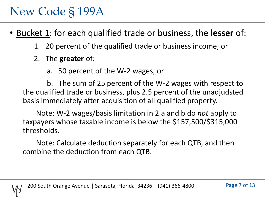• Bucket 1: for each qualified trade or business, the **lesser** of:

- 1. 20 percent of the qualified trade or business income, or
- 2. The **greater** of:
	- a. 50 percent of the W-2 wages, or

b. The sum of 25 percent of the W-2 wages with respect to the qualified trade or business, plus 2.5 percent of the unadjudsted basis immediately after acquisition of all qualified property.

Note: W-2 wages/basis limitation in 2.a and b do *not* apply to taxpayers whose taxable income is below the \$157,500/\$315,000 thresholds.

Note: Calculate deduction separately for each QTB, and then combine the deduction from each QTB.

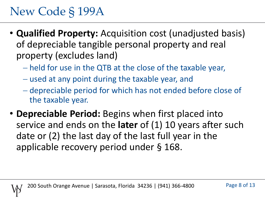- **Qualified Property:** Acquisition cost (unadjusted basis) of depreciable tangible personal property and real property (excludes land)
	- held for use in the QTB at the close of the taxable year,
	- used at any point during the taxable year, and
	- depreciable period for which has not ended before close of the taxable year.
- **Depreciable Period:** Begins when first placed into service and ends on the **later** of (1) 10 years after such date or (2) the last day of the last full year in the applicable recovery period under § 168.

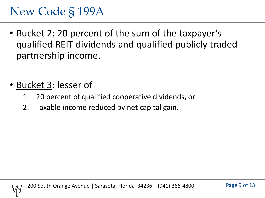- Bucket 2: 20 percent of the sum of the taxpayer's qualified REIT dividends and qualified publicly traded partnership income.
- Bucket 3: lesser of
	- 1. 20 percent of qualified cooperative dividends, or
	- 2. Taxable income reduced by net capital gain.

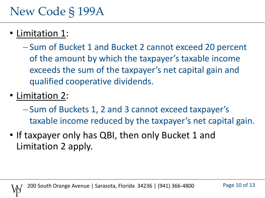- Limitation 1:
	- Sum of Bucket 1 and Bucket 2 cannot exceed 20 percent of the amount by which the taxpayer's taxable income exceeds the sum of the taxpayer's net capital gain and qualified cooperative dividends.
- Limitation 2:
	- Sum of Buckets 1, 2 and 3 cannot exceed taxpayer's taxable income reduced by the taxpayer's net capital gain.
- If taxpayer only has QBI, then only Bucket 1 and Limitation 2 apply.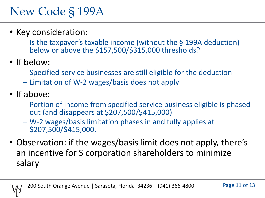- Key consideration:
	- $-$  Is the taxpayer's taxable income (without the § 199A deduction) below or above the \$157,500/\$315,000 thresholds?
- If below:
	- $-$  Specified service businesses are still eligible for the deduction
	- $-$  Limitation of W-2 wages/basis does not apply
- If above:
	- Portion of income from specified service business eligible is phased out (and disappears at \$207,500/\$415,000)
	- W-2 wages/basis limitation phases in and fully applies at \$207,500/\$415,000.
- Observation: if the wages/basis limit does not apply, there's an incentive for S corporation shareholders to minimize salary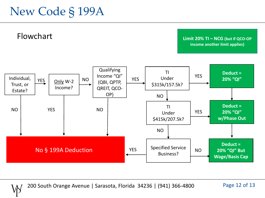



200 South Orange Avenue | Sarasota, Florida 34236 | (941) 366-4800

Page 12 of 13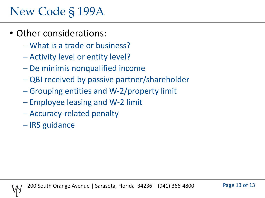- Other considerations:
	- What is a trade or business?
	- Activity level or entity level?
	- De minimis nonqualified income
	- QBI received by passive partner/shareholder
	- Grouping entities and W-2/property limit
	- $-$  Employee leasing and W-2 limit
	- Accuracy-related penalty
	- IRS guidance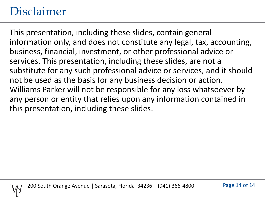#### Disclaimer

This presentation, including these slides, contain general information only, and does not constitute any legal, tax, accounting, business, financial, investment, or other professional advice or services. This presentation, including these slides, are not a substitute for any such professional advice or services, and it should not be used as the basis for any business decision or action. Williams Parker will not be responsible for any loss whatsoever by any person or entity that relies upon any information contained in this presentation, including these slides.